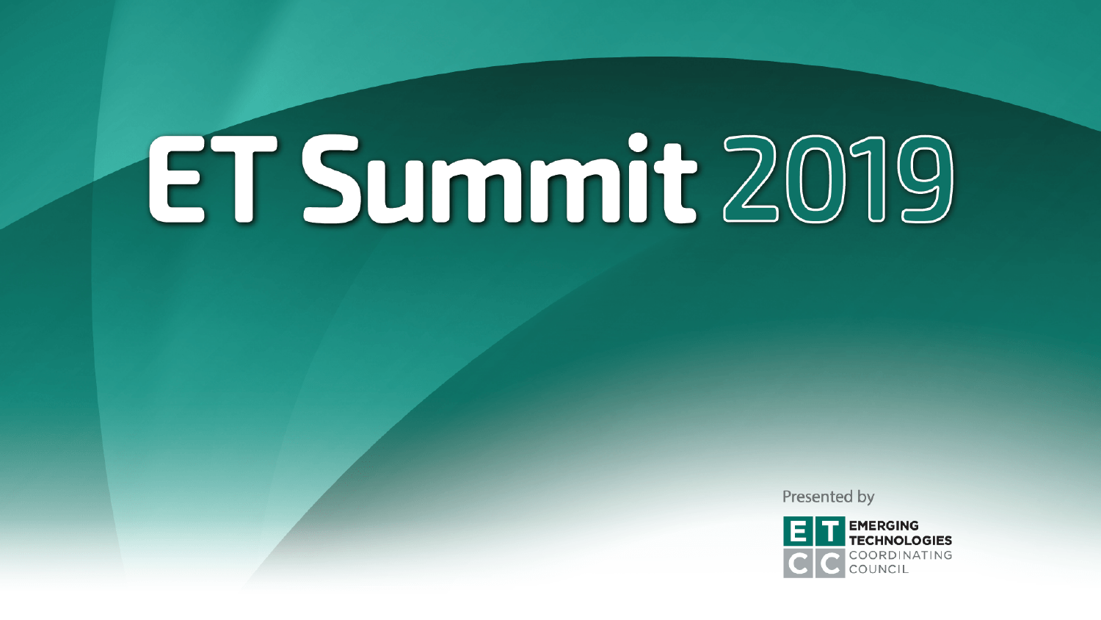Presented by

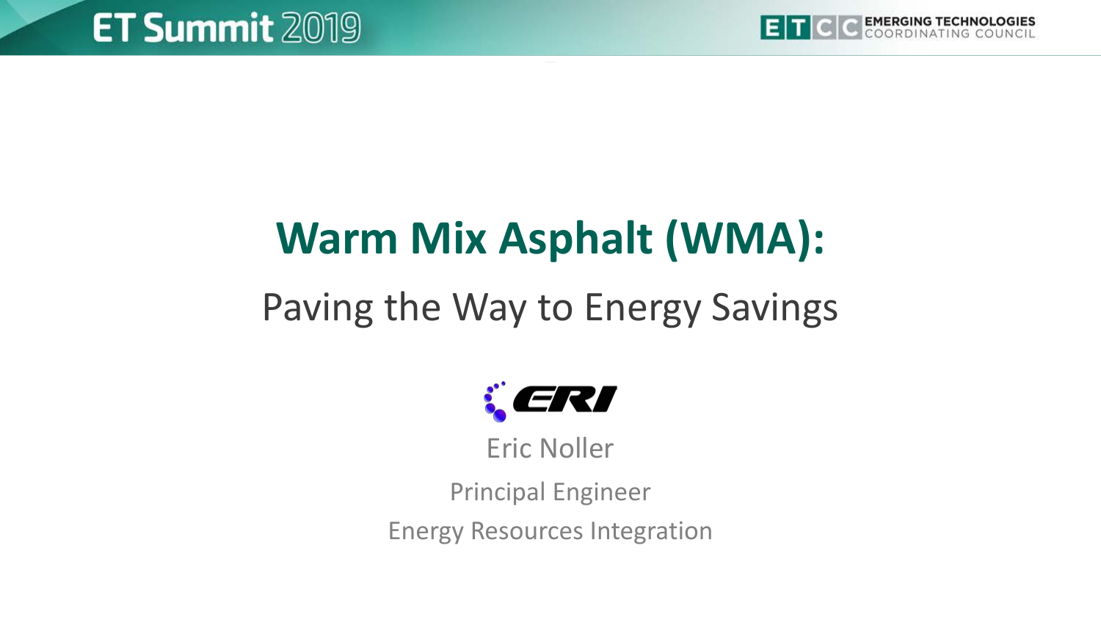

## **Warm Mix Asphalt (WMA):**

### Paving the Way to Energy Savings



Eric Noller

Principal Engineer

Energy Resources Integration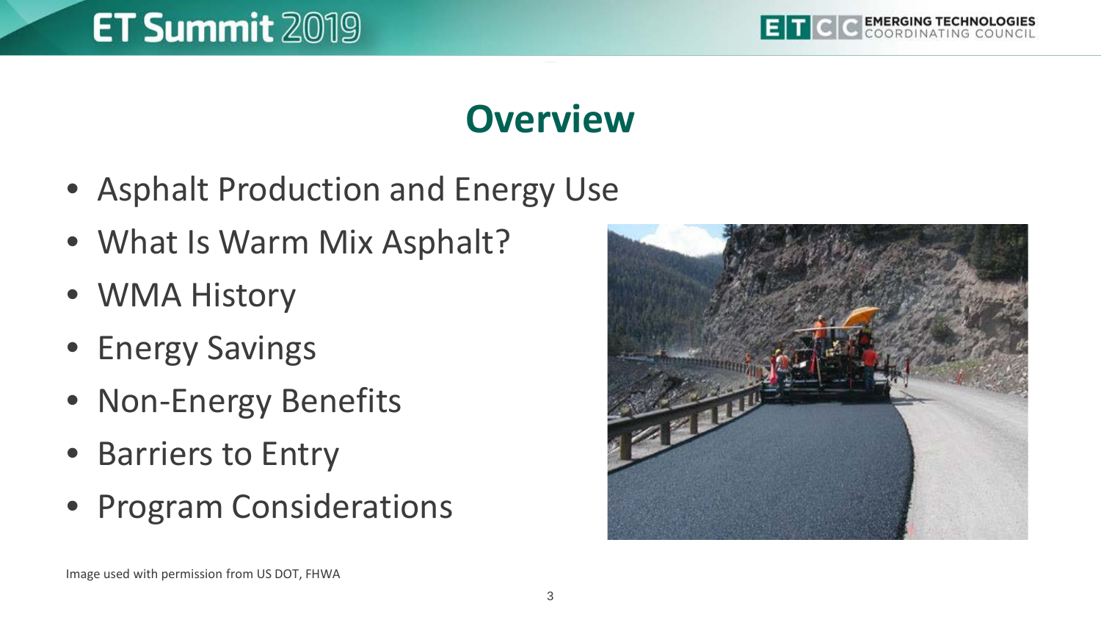

#### **Overview**

- Asphalt Production and Energy Use
- What Is Warm Mix Asphalt?
- WMA History
- Energy Savings
- Non-Energy Benefits
- Barriers to Entry
- Program Considerations

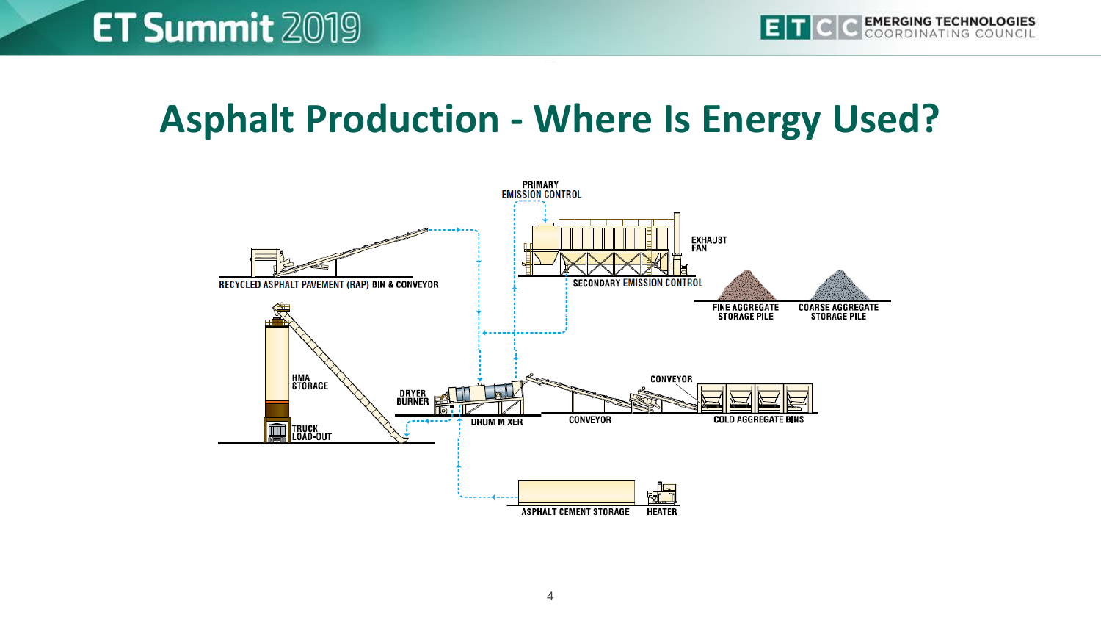#### **Asphalt Production - Where Is Energy Used?**

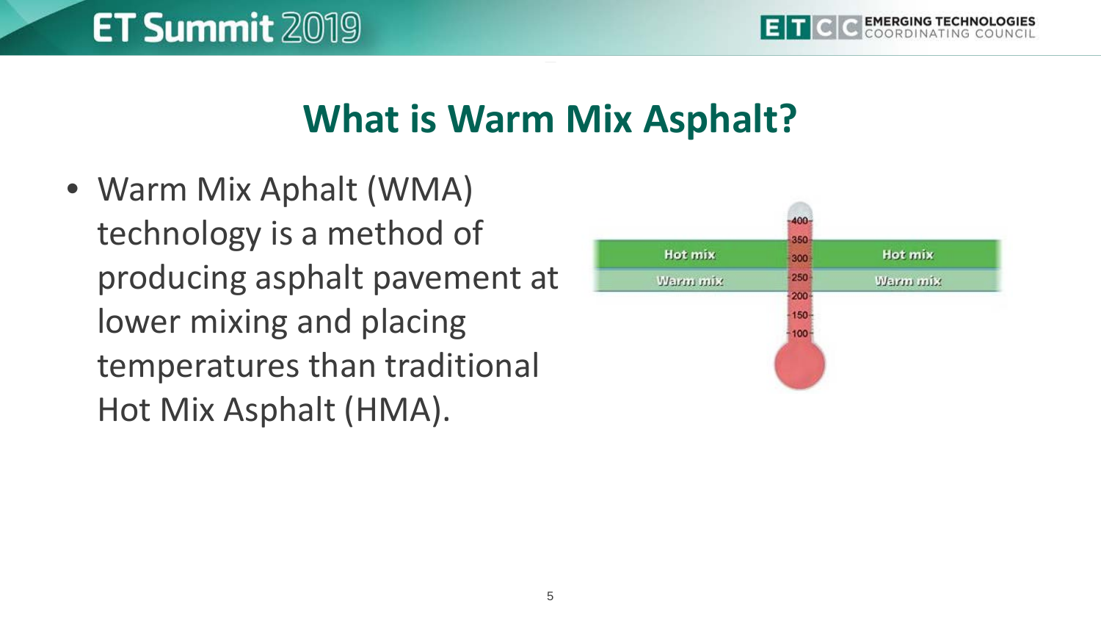#### **What is Warm Mix Asphalt?**

• Warm Mix Aphalt (WMA) technology is a method of producing asphalt pavement at lower mixing and placing temperatures than traditional Hot Mix Asphalt (HMA).

**ET Summit 2019** 

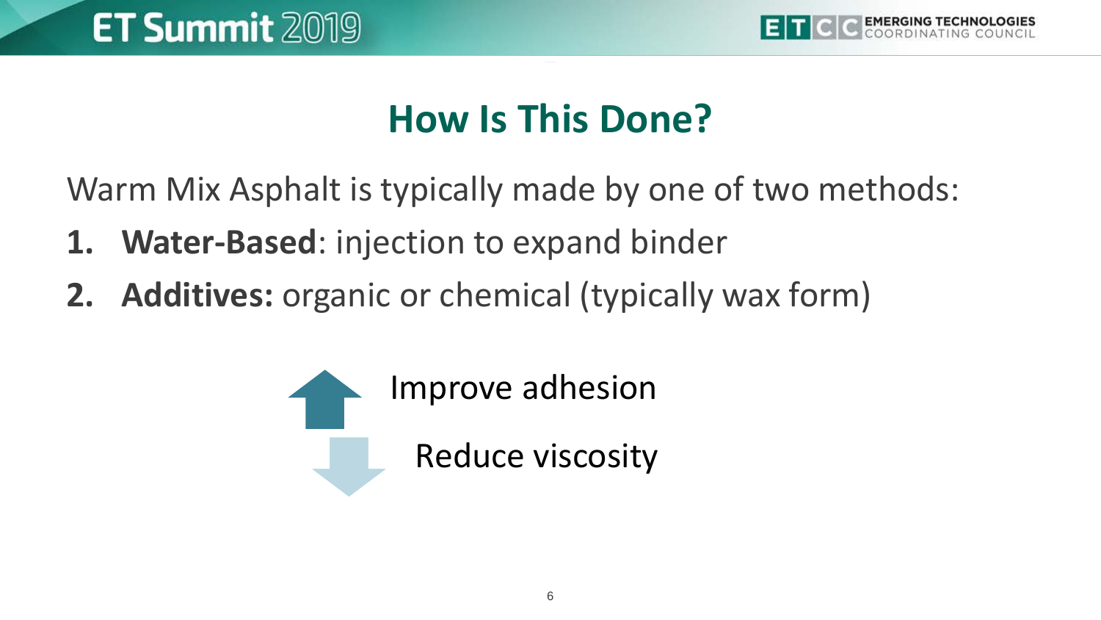

#### **How Is This Done?**

Warm Mix Asphalt is typically made by one of two methods:

- **1. Water-Based**: injection to expand binder
- **2. Additives:** organic or chemical (typically wax form)

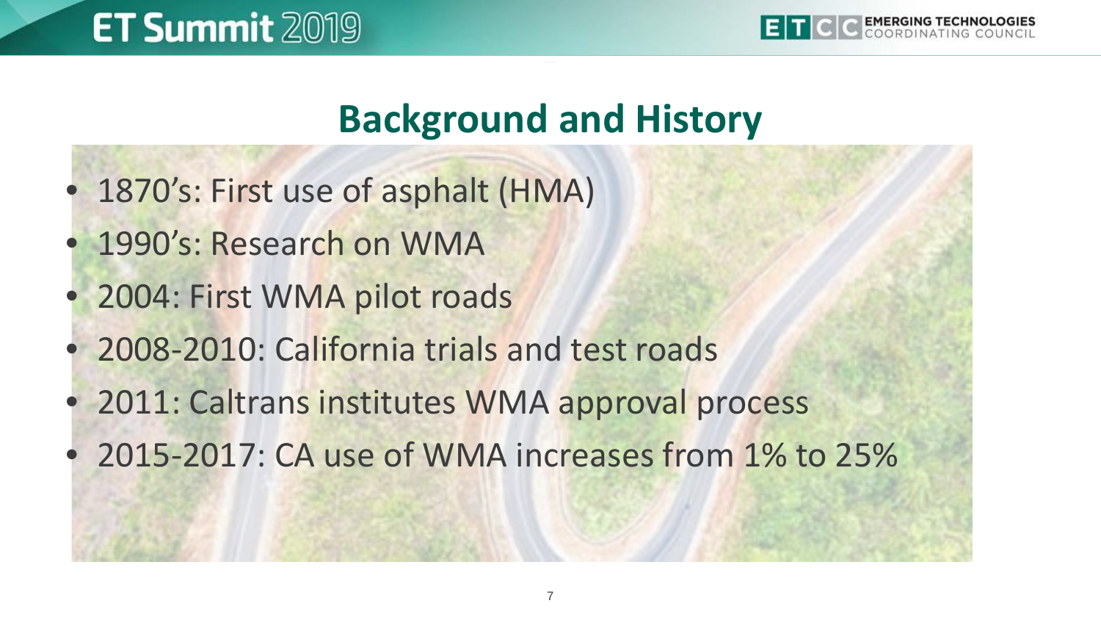

#### **Background and History**

- 1870's: First use of asphalt (HMA)
- 1990's: Research on WMA
- 2004: First WMA pilot roads
- 2008-2010: California trials and test roads
- 2011: Caltrans institutes WMA approval process
- 2015-2017: CA use of WMA increases from 1% to 25%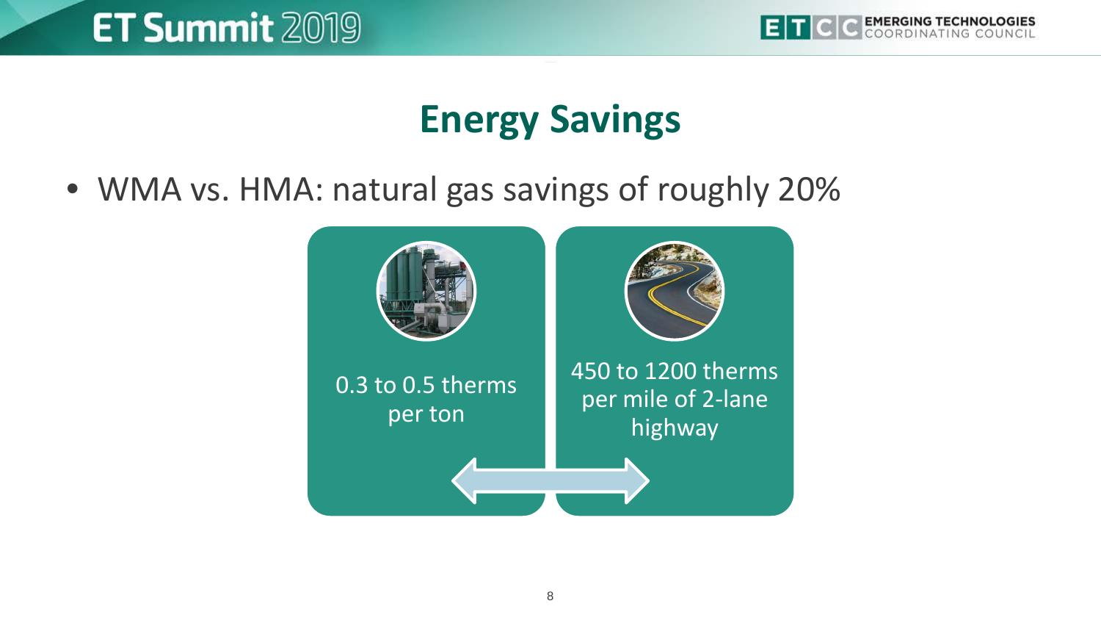

#### **Energy Savings**

• WMA vs. HMA: natural gas savings of roughly 20%

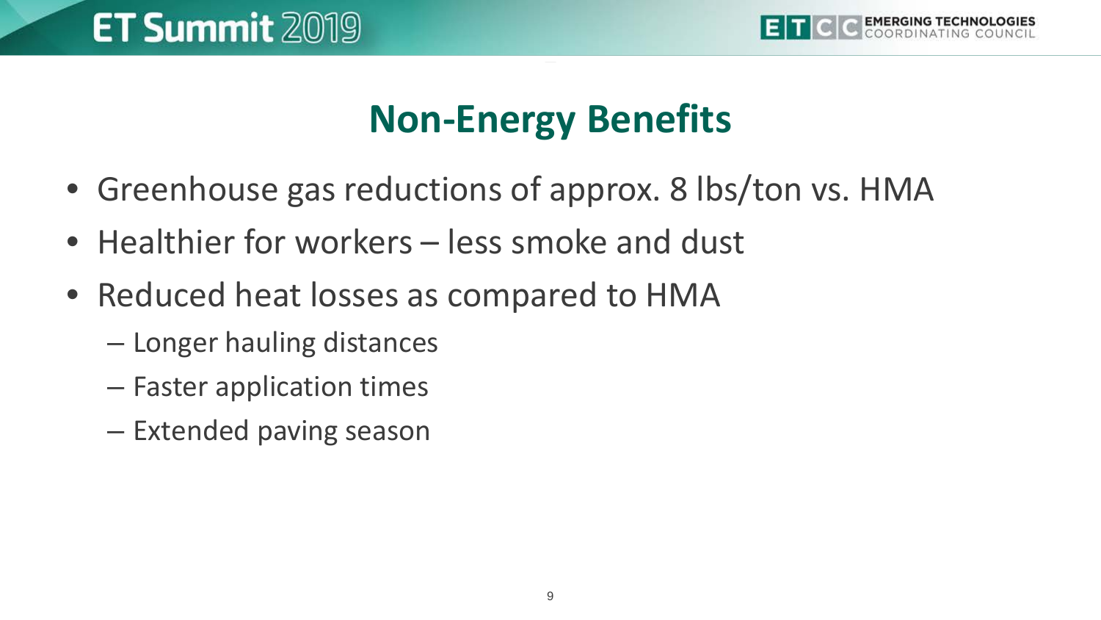

#### **Non-Energy Benefits**

- Greenhouse gas reductions of approx. 8 lbs/ton vs. HMA
- Healthier for workers less smoke and dust
- Reduced heat losses as compared to HMA
	- Longer hauling distances
	- Faster application times
	- Extended paving season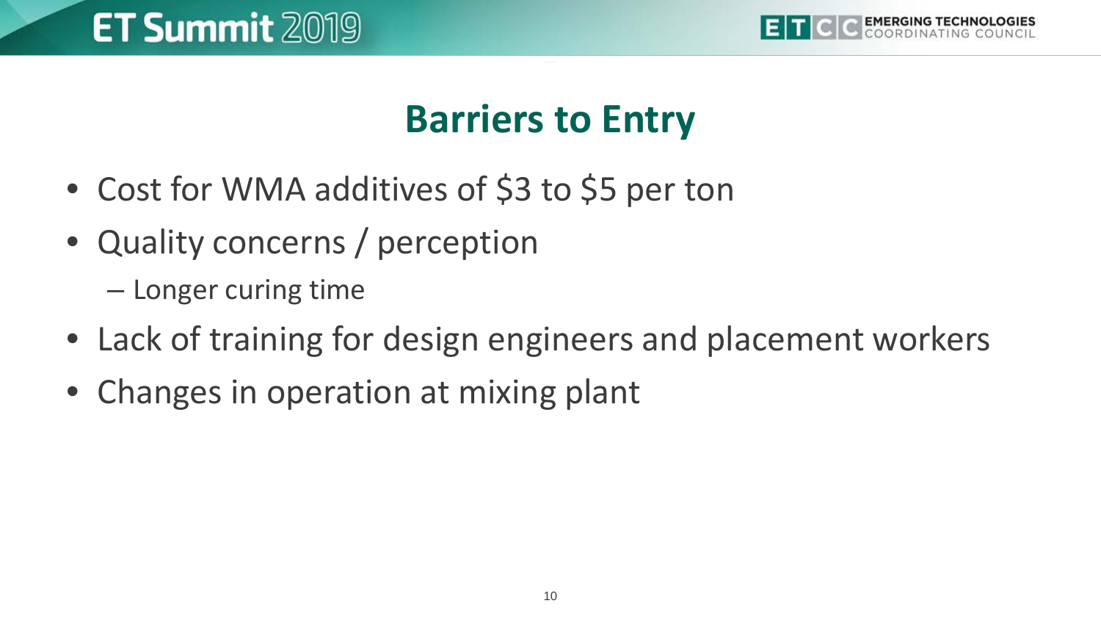

#### **Barriers to Entry**

- Cost for WMA additives of \$3 to \$5 per ton
- Quality concerns / perception
	- Longer curing time
- Lack of training for design engineers and placement workers
- Changes in operation at mixing plant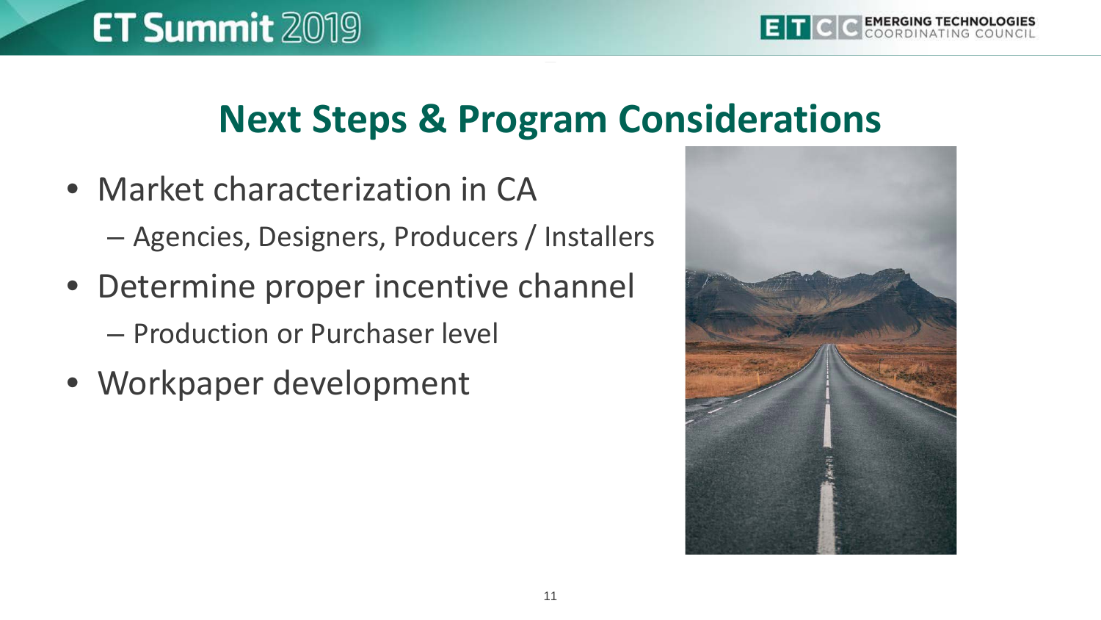#### **Next Steps & Program Considerations**

- Market characterization in CA – Agencies, Designers, Producers / Installers
- Determine proper incentive channel – Production or Purchaser level
- Workpaper development

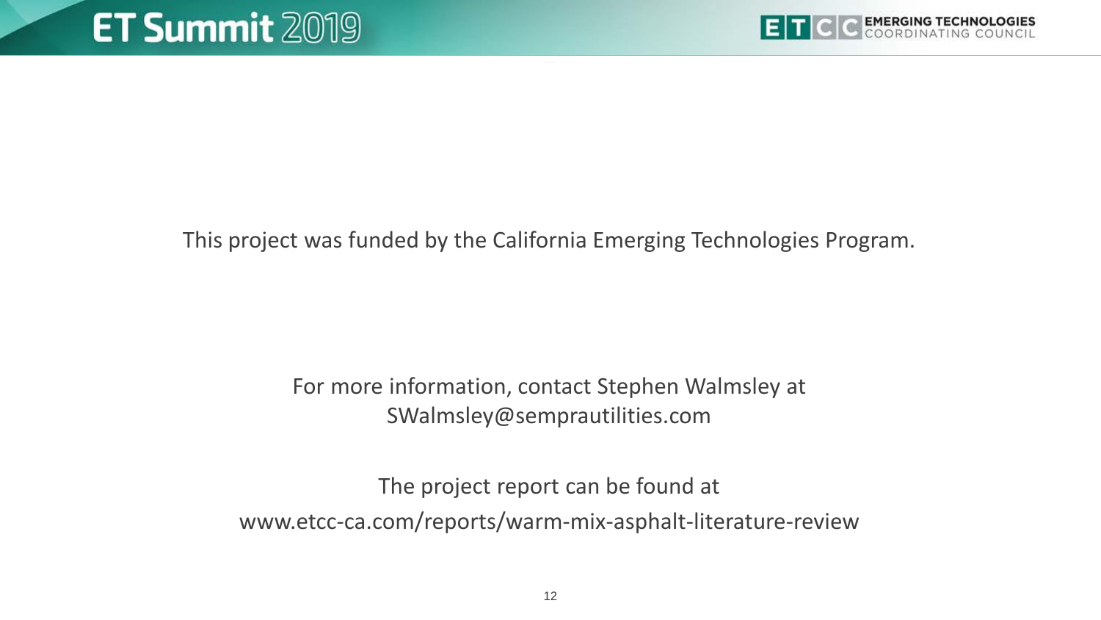

This project was funded by the California Emerging Technologies Program.

For more information, contact Stephen Walmsley at SWalmsley@semprautilities.com

The project report can be found at www.etcc-ca.com/reports/warm-mix-asphalt-literature-review